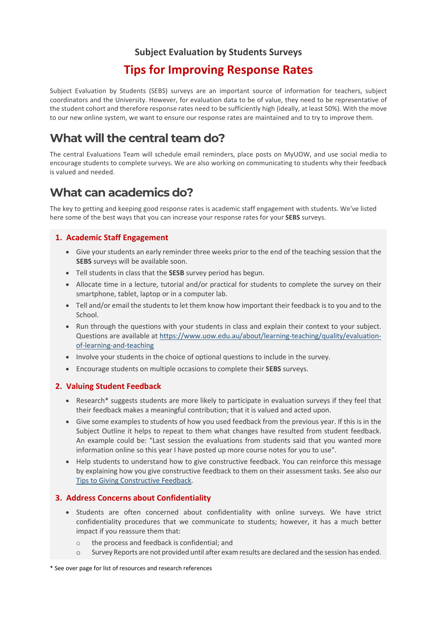### **Subject Evaluation by Students Surveys**

### **Tips for Improving Response Rates**

Subject Evaluation by Students (SEBS) surveys are an important source of information for teachers, subject coordinators and the University. However, for evaluation data to be of value, they need to be representative of the student cohort and therefore response rates need to be sufficiently high (ideally, at least 50%). With the move to our new online system, we want to ensure our response rates are maintained and to try to improve them.

## **What will the central team do?**

The central Evaluations Team will schedule email reminders, place posts on MyUOW, and use social media to encourage students to complete surveys. We are also working on communicating to students why their feedback is valued and needed.

### **What can academics do?**

The key to getting and keeping good response rates is academic staff engagement with students. We've listed here some of the best ways that you can increase your response rates for your **SEBS** surveys.

#### **1. Academic Staff Engagement**

- Give your students an early reminder three weeks prior to the end of the teaching session that the **SEBS** surveys will be available soon.
- Tell students in class that the **SESB** survey period has begun.
- Allocate time in a lecture, tutorial and/or practical for students to complete the survey on their smartphone, tablet, laptop or in a computer lab.
- Tell and/or email the students to let them know how important their feedback is to you and to the School.
- Run through the questions with your students in class and explain their context to your subject. Questions are available at [https://www.uow.edu.au/about/learning-teaching/quality/evaluation](https://www.uow.edu.au/about/learning-teaching/quality/evaluation-of-learning-and-teaching)[of-learning-and-teaching](https://www.uow.edu.au/about/learning-teaching/quality/evaluation-of-learning-and-teaching)
- Involve your students in the choice of optional questions to include in the survey.
- Encourage students on multiple occasions to complete their **SEBS** surveys.

#### **2. Valuing Student Feedback**

- Research\* suggests students are more likely to participate in evaluation surveys if they feel that their feedback makes a meaningful contribution; that it is valued and acted upon.
- Give some examples to students of how you used feedback from the previous year. If this is in the Subject Outline it helps to repeat to them what changes have resulted from student feedback. An example could be: "Last session the evaluations from students said that you wanted more information online so this year I have posted up more course notes for you to use".
- Help students to understand how to give constructive feedback. You can reinforce this message by explaining how you give constructive feedback to them on their assessment tasks. See also our Tips to Giving Constructive Feedback.

#### **3. Address Concerns about Confidentiality**

- Students are often concerned about confidentiality with online surveys. We have strict confidentiality procedures that we communicate to students; however, it has a much better impact if you reassure them that:
	- o the process and feedback is confidential; and
	- o Survey Reports are not provided until after exam results are declared and the session has ended.

\* See over page for list of resources and research references